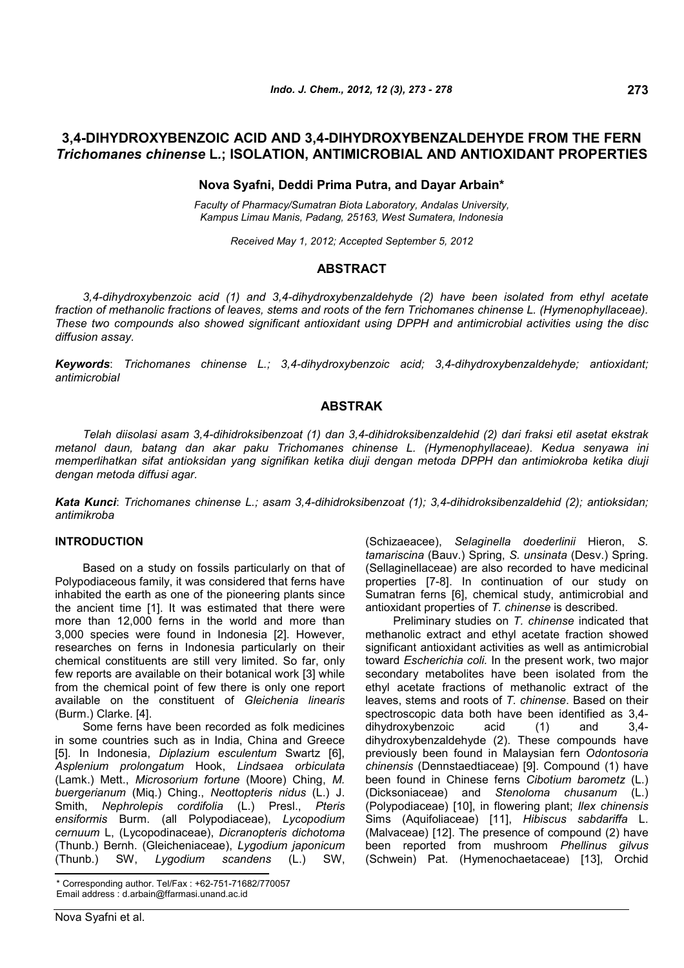# **3,4-DIHYDROXYBENZOIC ACID AND 3,4-DIHYDROXYBENZALDEHYDE FROM THE FERN** *Trichomanes chinense* **L***.***; ISOLATION, ANTIMICROBIAL AND ANTIOXIDANT PROPERTIES**

## **Nova Syafni, Deddi Prima Putra, and Dayar Arbain\***

*Faculty of Pharmacy/Sumatran Biota Laboratory, Andalas University, Kampus Limau Manis, Padang, 25163, West Sumatera, Indonesia*

*Received May 1, 2012; Accepted September 5, 2012*

## **ABSTRACT**

*3,4-dihydroxybenzoic acid (1) and 3,4-dihydroxybenzaldehyde (2) have been isolated from ethyl acetate fraction of methanolic fractions of leaves, stems and roots of the fern Trichomanes chinense L. (Hymenophyllaceae). These two compounds also showed significant antioxidant using DPPH and antimicrobial activities using the disc diffusion assay.*

*Keywords*: *Trichomanes chinense L.; 3,4-dihydroxybenzoic acid; 3,4-dihydroxybenzaldehyde; antioxidant; antimicrobial*

## **ABSTRAK**

*Telah diisolasi asam 3,4-dihidroksibenzoat (1) dan 3,4-dihidroksibenzaldehid (2) dari fraksi etil asetat ekstrak metanol daun, batang dan akar paku Trichomanes chinense L. (Hymenophyllaceae). Kedua senyawa ini memperlihatkan sifat antioksidan yang signifikan ketika diuji dengan metoda DPPH dan antimiokroba ketika diuji dengan metoda diffusi agar.*

*Kata Kunci*: *Trichomanes chinense L.; asam 3,4-dihidroksibenzoat (1); 3,4-dihidroksibenzaldehid (2); antioksidan; antimikroba*

#### **INTRODUCTION**

Based on a study on fossils particularly on that of Polypodiaceous family, it was considered that ferns have inhabited the earth as one of the pioneering plants since the ancient time [1]. It was estimated that there were more than 12,000 ferns in the world and more than 3,000 species were found in Indonesia [2]. However, researches on ferns in Indonesia particularly on their chemical constituents are still very limited. So far, only few reports are available on their botanical work [3] while from the chemical point of few there is only one report available on the constituent of *Gleichenia linearis* (Burm.) Clarke. [4].

Some ferns have been recorded as folk medicines in some countries such as in India, China and Greece [5]. In Indonesia, *Diplazium esculentum* Swartz [6], *Asplenium prolongatum* Hook, *Lindsaea orbiculata* (Lamk.) Mett., *Microsorium fortune* (Moore) Ching, *M. buergerianum* (Miq.) Ching., *Neottopteris nidus* (L.) J. Smith, *Nephrolepis cordifolia* (L.) Presl., *Pteris ensiformis* Burm. (all Polypodiaceae), *Lycopodium cernuum* L, (Lycopodinaceae), *Dicranopteris dichotoma* (Thunb.) Bernh. (Gleicheniaceae), *Lygodium japonicum* (Thunb.) SW, *Lygodium scandens* (L.) SW, (Schizaeacee), *Selaginella doederlinii* Hieron, *S. tamariscina* (Bauv.) Spring, *S. unsinata* (Desv.) Spring. (Sellaginellaceae) are also recorded to have medicinal properties [7-8]. In continuation of our study on Sumatran ferns [6], chemical study, antimicrobial and antioxidant properties of *T. chinense* is described*.*

Preliminary studies on *T. chinense* indicated that methanolic extract and ethyl acetate fraction showed significant antioxidant activities as well as antimicrobial toward *Escherichia coli.* In the present work, two major secondary metabolites have been isolated from the ethyl acetate fractions of methanolic extract of the leaves, stems and roots of *T. chinense*. Based on their spectroscopic data both have been identified as 3,4-<br>dihydroxybenzoic acid (1) and 3.4dihydroxybenzoic acid (1) and 3,4 dihydroxybenzaldehyde (2). These compounds have previously been found in Malaysian fern *Odontosoria chinensis* (Dennstaedtiaceae) [9]. Compound (1) have been found in Chinese ferns *Cibotium barometz* (L.) (Dicksoniaceae) and *Stenoloma chusanum* (L.) (Polypodiaceae) [10], in flowering plant; *Ilex chinensis* Sims (Aquifoliaceae) [11], *Hibiscus sabdariffa* L. (Malvaceae) [12]. The presence of compound (2) have been reported from mushroom *Phellinus gilvus* (Schwein) Pat. (Hymenochaetaceae) [13], Orchid

<sup>\*</sup> Corresponding author. Tel/Fax : +62-751-71682/770057 Email address : d.arbain@ffarmasi.unand.ac.id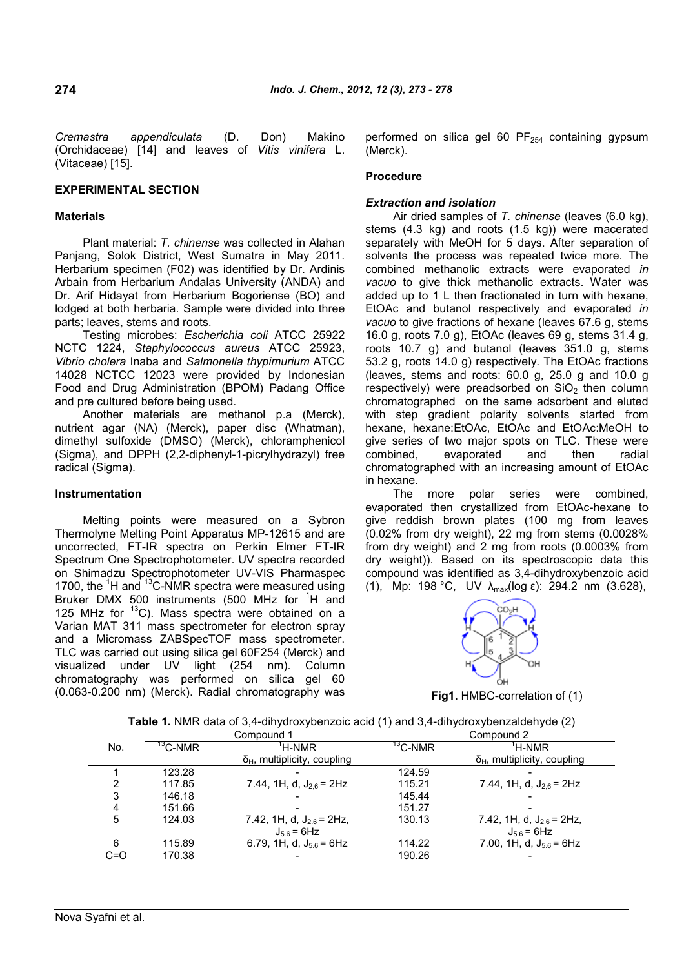*Cremastra appendiculata* (D. Don) Makino (Orchidaceae) [14] and leaves of *Vitis vinifera* L. (Vitaceae) [15].

## **EXPERIMENTAL SECTION**

#### **Materials**

Plant material: *T. chinense* was collected in Alahan Panjang, Solok District, West Sumatra in May 2011. Herbarium specimen (F02) was identified by Dr. Ardinis Arbain from Herbarium Andalas University (ANDA) and Dr. Arif Hidayat from Herbarium Bogoriense (BO) and lodged at both herbaria. Sample were divided into three parts; leaves, stems and roots.

Testing microbes: *Escherichia coli* ATCC 25922 NCTC 1224, *Staphylococcus aureus* ATCC 25923, *Vibrio cholera* Inaba and *Salmonella thypimurium* ATCC 14028 NCTCC 12023 were provided by Indonesian Food and Drug Administration (BPOM) Padang Office and pre cultured before being used.

Another materials are methanol p.a (Merck), nutrient agar (NA) (Merck), paper disc (Whatman), dimethyl sulfoxide (DMSO) (Merck), chloramphenicol (Sigma), and DPPH (2,2-diphenyl-1-picrylhydrazyl) free radical (Sigma).

### **Instrumentation**

Melting points were measured on a Sybron Thermolyne Melting Point Apparatus MP-12615 and are uncorrected, FT-IR spectra on Perkin Elmer FT-IR Spectrum One Spectrophotometer. UV spectra recorded on Shimadzu Spectrophotometer UV-VIS Pharmaspec 1700, the  ${}^{1}$ H and  ${}^{13}$ C-NMR spectra were measured using Bruker DMX 500 instruments (500 MHz for <sup>1</sup>H and 125 MHz for  ${}^{13}$ C). Mass spectra were obtained on a Varian MAT 311 mass spectrometer for electron spray and a Micromass ZABSpecTOF mass spectrometer. TLC was carried out using silica gel 60F254 (Merck) and visualized under UV light (254 nm). Column chromatography was performed on silica gel 60 (0.063-0.200 nm) (Merck). Radial chromatography was performed on silica gel 60  $PF_{254}$  containing gypsum (Merck).

#### **Procedure**

#### *Extraction and isolation*

Air dried samples of *T. chinense* (leaves (6.0 kg), stems (4.3 kg) and roots (1.5 kg)) were macerated separately with MeOH for 5 days. After separation of solvents the process was repeated twice more. The combined methanolic extracts were evaporated *in vacuo* to give thick methanolic extracts. Water was added up to 1 L then fractionated in turn with hexane, EtOAc and butanol respectively and evaporated *in vacuo* to give fractions of hexane (leaves 67.6 g, stems 16.0 g, roots 7.0 g), EtOAc (leaves 69 g, stems 31.4 g, roots 10.7 g) and butanol (leaves 351.0 g, stems 53.2 g, roots 14.0 g) respectively. The EtOAc fractions (leaves, stems and roots: 60.0 g, 25.0 g and 10.0 g respectively) were preadsorbed on  $SiO<sub>2</sub>$  then column chromatographed on the same adsorbent and eluted with step gradient polarity solvents started from hexane, hexane:EtOAc, EtOAc and EtOAc:MeOH to give series of two major spots on TLC. These were combined, evaporated and then radial chromatographed with an increasing amount of EtOAc in hexane.

The more polar series were combined, evaporated then crystallized from EtOAc-hexane to give reddish brown plates (100 mg from leaves (0.02% from dry weight), 22 mg from stems (0.0028% from dry weight) and 2 mg from roots (0.0003% from dry weight)). Based on its spectroscopic data this compound was identified as 3,4-dihydroxybenzoic acid (1), Mp: 198 °C, UV  $\lambda_{\text{max}}(\log \epsilon)$ : 294.2 nm (3.628),



**Fig1.** HMBC-correlation of (1)

|     | Compound 1 |                                     | Compound 2          |                                     |  |
|-----|------------|-------------------------------------|---------------------|-------------------------------------|--|
| No. | $13$ C-NMR | <sup>'</sup> H-NMR                  | <sup>13</sup> C-NMR | <sup>'</sup> H-NMR                  |  |
|     |            | $\delta_H$ , multiplicity, coupling |                     | $\delta_H$ , multiplicity, coupling |  |
|     | 123.28     |                                     | 124.59              |                                     |  |
| 2   | 117.85     | 7.44, 1H, d, $J_{2.6}$ = 2Hz        | 115.21              | 7.44, 1H, d, $J_{2,6}$ = 2Hz        |  |
| 3   | 146.18     |                                     | 145.44              |                                     |  |
| 4   | 151.66     |                                     | 151.27              |                                     |  |
| 5   | 124.03     | 7.42, 1H, d, $J_{26}$ = 2Hz,        | 130.13              | 7.42, 1H, d, $J_{2.6}$ = 2Hz,       |  |
|     |            | $J_{5,6} = 6$ Hz                    |                     | $J_{5,6}$ = 6Hz                     |  |
| 6   | 115.89     | 6.79, 1H, d, $J_{5.6}$ = 6Hz        | 114.22              | 7.00, 1H, d, $J_{5.6}$ = 6Hz        |  |
| C=O | 170.38     |                                     | 190.26              |                                     |  |

**Table 1.** NMR data of 3,4-dihydroxybenzoic acid (1) and 3,4-dihydroxybenzaldehyde (2)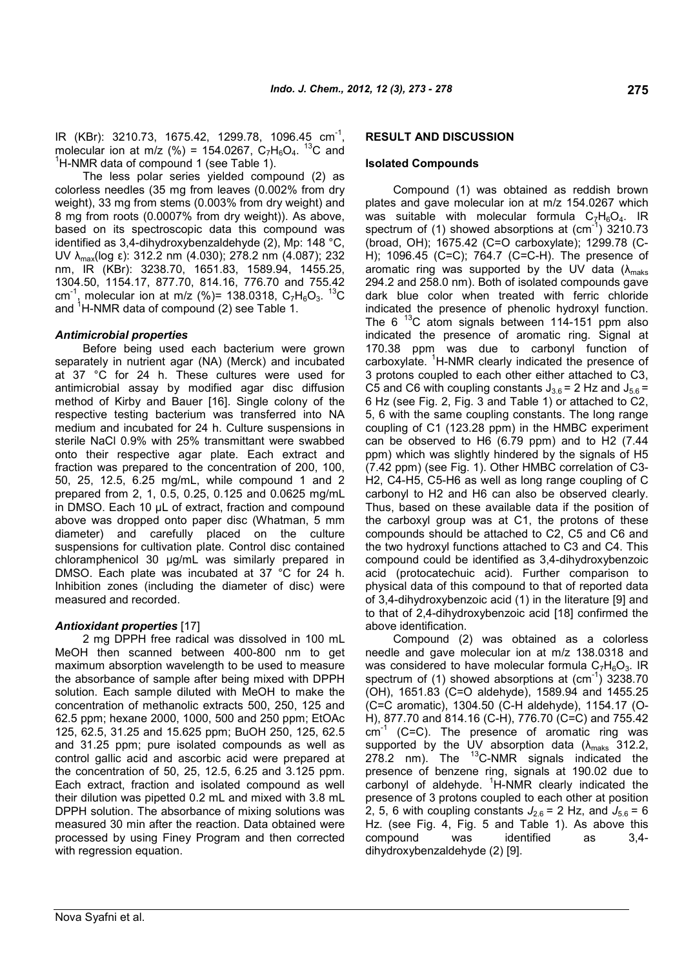IR (KBr): 3210.73, 1675.42, 1299.78, 1096.45 cm<sup>-1</sup>, molecular ion at m/z (%) = 154.0267,  $C_7H_6O_4$ . <sup>13</sup>C and  $1$ H-NMR data of compound 1 (see Table 1).

The less polar series yielded compound (2) as colorless needles (35 mg from leaves (0.002% from dry weight), 33 mg from stems (0.003% from dry weight) and 8 mg from roots (0.0007% from dry weight)). As above, based on its spectroscopic data this compound was identified as 3,4-dihydroxybenzaldehyde (2), Mp: 148 °C, UV  $\lambda_{\text{max}}$ (log ε): 312.2 nm (4.030); 278.2 nm (4.087); 232 nm, IR (KBr): 3238.70, 1651.83, 1589.94, 1455.25, 1304.50, 1154.17, 877.70, 814.16, 776.70 and 755.42 cm<sup>-1</sup>, molecular ion at m/z (%)= 138.0318,  $C_7H_6O_3$ . <sup>13</sup>C and <sup>1</sup>H-NMR data of compound (2) see Table 1.

### *Antimicrobial properties*

Before being used each bacterium were grown separately in nutrient agar (NA) (Merck) and incubated at 37 °C for 24 h. These cultures were used for antimicrobial assay by modified agar disc diffusion method of Kirby and Bauer [16]. Single colony of the respective testing bacterium was transferred into NA medium and incubated for 24 h. Culture suspensions in sterile NaCl 0.9% with 25% transmittant were swabbed onto their respective agar plate. Each extract and fraction was prepared to the concentration of 200, 100, 50, 25, 12.5, 6.25 mg/mL, while compound 1 and 2 prepared from 2, 1, 0.5, 0.25, 0.125 and 0.0625 mg/mL in DMSO. Each 10 µL of extract, fraction and compound above was dropped onto paper disc (Whatman, 5 mm diameter) and carefully placed on the culture suspensions for cultivation plate. Control disc contained chloramphenicol 30 µg/mL was similarly prepared in DMSO. Each plate was incubated at 37 °C for 24 h. Inhibition zones (including the diameter of disc) were measured and recorded.

## *Antioxidant properties* [17]

2 mg DPPH free radical was dissolved in 100 mL MeOH then scanned between 400-800 nm to get maximum absorption wavelength to be used to measure the absorbance of sample after being mixed with DPPH solution. Each sample diluted with MeOH to make the concentration of methanolic extracts 500, 250, 125 and 62.5 ppm; hexane 2000, 1000, 500 and 250 ppm; EtOAc 125, 62.5, 31.25 and 15.625 ppm; BuOH 250, 125, 62.5 and 31.25 ppm; pure isolated compounds as well as control gallic acid and ascorbic acid were prepared at the concentration of 50, 25, 12.5, 6.25 and 3.125 ppm. Each extract, fraction and isolated compound as well their dilution was pipetted 0.2 mL and mixed with 3.8 mL DPPH solution. The absorbance of mixing solutions was measured 30 min after the reaction. Data obtained were processed by using Finey Program and then corrected with regression equation.

### **RESULT AND DISCUSSION**

#### **Isolated Compounds**

Compound (1) was obtained as reddish brown plates and gave molecular ion at m/z 154.0267 which was suitable with molecular formula  $C_7H_6O_4$ . IR spectrum of  $(1)$  showed absorptions at  $(cm<sup>-1</sup>)$  3210.73 (broad, OH); 1675.42 (C=O carboxylate); 1299.78 (C-H); 1096.45 (C=C); 764.7 (C=C-H). The presence of aromatic ring was supported by the UV data ( $\lambda_{\text{maks}}$ ) 294.2 and 258.0 nm). Both of isolated compounds gave dark blue color when treated with ferric chloride indicated the presence of phenolic hydroxyl function. The 6<sup>13</sup>C atom signals between 114-151 ppm also indicated the presence of aromatic ring. Signal at 170.38 ppm was due to carbonyl function of carboxylate.  ${}^{1}$ H-NMR clearly indicated the presence of 3 protons coupled to each other either attached to C3, C5 and C6 with coupling constants  $J_{3.6} = 2$  Hz and  $J_{5.6} =$ 6 Hz (see Fig. 2, Fig. 3 and Table 1) or attached to C2, 5, 6 with the same coupling constants. The long range coupling of C1 (123.28 ppm) in the HMBC experiment can be observed to H6 (6.79 ppm) and to H2 (7.44 ppm) which was slightly hindered by the signals of H5 (7.42 ppm) (see Fig. 1). Other HMBC correlation of C3- H2, C4-H5, C5-H6 as well as long range coupling of C carbonyl to H2 and H6 can also be observed clearly. Thus, based on these available data if the position of the carboxyl group was at C1, the protons of these compounds should be attached to C2, C5 and C6 and the two hydroxyl functions attached to C3 and C4. This compound could be identified as 3,4-dihydroxybenzoic acid (protocatechuic acid). Further comparison to physical data of this compound to that of reported data of 3,4-dihydroxybenzoic acid (1) in the literature [9] and to that of 2,4-dihydroxybenzoic acid [18] confirmed the above identification.

Compound (2) was obtained as a colorless needle and gave molecular ion at m/z 138.0318 and was considered to have molecular formula  $C_7H_6O_3$ . IR spectrum of (1) showed absorptions at  $\text{(cm}^{-1})$  3238.70 (OH), 1651.83 (C=O aldehyde), 1589.94 and 1455.25 (C=C aromatic), 1304.50 (C-H aldehyde), 1154.17 (O-H), 877.70 and 814.16 (C-H), 776.70 (C=C) and 755.42 cm<sup>-1</sup> (C=C). The presence of aromatic ring was supported by the UV absorption data ( $\lambda_{\text{maks}}$  312.2,  $278.2$  nm). The  $^{13}$ C-NMR signals indicated the presence of benzene ring, signals at 190.02 due to carbonyl of aldehyde.  ${}^{1}$ H-NMR clearly indicated the presence of 3 protons coupled to each other at position 2, 5, 6 with coupling constants  $J_{2.6} = 2$  Hz, and  $J_{5.6} = 6$ Hz. (see Fig. 4, Fig. 5 and Table 1). As above this compound was identified as 3,4 dihydroxybenzaldehyde (2) [9].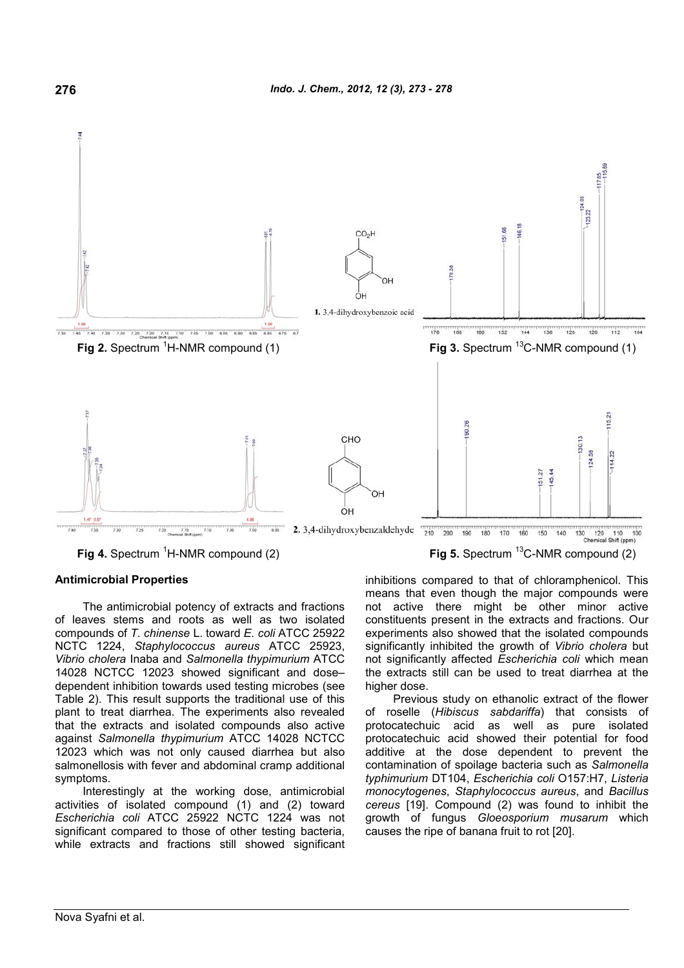

**Fig 4.** Spectrum <sup>1</sup>H-NMR compound (2) **Fig 5.** Spectrum <sup>13</sup>C-NMR compound (2)

## **Antimicrobial Properties**

The antimicrobial potency of extracts and fractions of leaves stems and roots as well as two isolated compounds of *T. chinense* L. toward *E. coli* ATCC 25922 NCTC 1224, *Staphylococcus aureus* ATCC 25923, *Vibrio cholera* Inaba and *Salmonella thypimurium* ATCC 14028 NCTCC 12023 showed significant and dose– dependent inhibition towards used testing microbes (see Table 2). This result supports the traditional use of this plant to treat diarrhea. The experiments also revealed that the extracts and isolated compounds also active against *Salmonella thypimurium* ATCC 14028 NCTCC 12023 which was not only caused diarrhea but also salmonellosis with fever and abdominal cramp additional symptoms.

Interestingly at the working dose, antimicrobial activities of isolated compound (1) and (2) toward *Escherichia coli* ATCC 25922 NCTC 1224 was not significant compared to those of other testing bacteria, while extracts and fractions still showed significant inhibitions compared to that of chloramphenicol. This means that even though the major compounds were not active there might be other minor active constituents present in the extracts and fractions. Our experiments also showed that the isolated compounds significantly inhibited the growth of *Vibrio cholera* but not significantly affected *Escherichia coli* which mean the extracts still can be used to treat diarrhea at the higher dose.

Previous study on ethanolic extract of the flower of roselle (*Hibiscus sabdariffa*) that consists of protocatechuic acid as well as pure isolated protocatechuic acid showed their potential for food additive at the dose dependent to prevent the contamination of spoilage bacteria such as *Salmonella typhimurium* DT104, *Escherichia coli* O157:H7, *Listeria monocytogenes*, *Staphylococcus aureus*, and *Bacillus cereus* [19]. Compound (2) was found to inhibit the growth of fungus *Gloeosporium musarum* which causes the ripe of banana fruit to rot [20].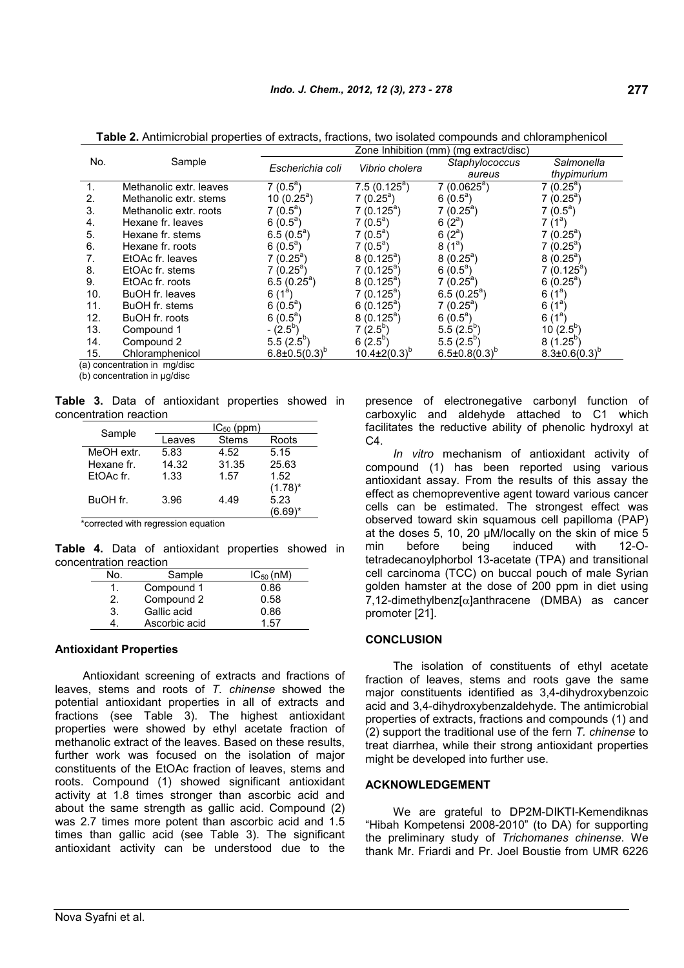**Table 2.** Antimicrobial properties of extracts, fractions, two isolated compounds and chloramphenicol

|                                |                         | Zone Inhibition (mm) (mg extract/disc) |                           |                        |                        |
|--------------------------------|-------------------------|----------------------------------------|---------------------------|------------------------|------------------------|
| No.                            | Sample                  | Escherichia coli                       | Vibrio cholera            | Staphylococcus         | Salmonella             |
|                                |                         |                                        |                           | aureus                 | thypimurium            |
|                                | Methanolic extr. leaves | $7(0.5^a)$                             | $7.5(0.125^a)$            | $7(0.0625^a)$          | $7(0.25^a)$            |
| 2.                             | Methanolic extr. stems  | 10 $(0.25^a)$                          | $7(0.25^a)$               | 6 $(0.5^a)$            | $7(0.25^a)$            |
| 3.                             | Methanolic extr. roots  | $7(0.5^a)$                             | $7(0.125^a)$              | $7(0.25^a)$            | $7(0.5^a)$             |
| 4.                             | Hexane fr. leaves       | 6 $(0.5^a)$                            | $7(0.5^a)$                | 6 $(2^a)$              | 7 (1ª)                 |
| 5.                             | Hexane fr. stems        | $6.5(0.5^a)$                           | $7(0.5^a)$                | 6 $(2^a)$              | $7(0.25^a)$            |
| 6.                             | Hexane fr. roots        | $6(0.5^a)$                             | $7(0.5^a)$                | $8(1^a)$               | $7(0.25^a)$            |
|                                | EtOAc fr. leaves        | $7(0.25^a)$                            | $8(0.125^a)$              | $8(0.25^a)$            | $8(0.25^a)$            |
| 8.                             | EtOAc fr. stems         | $7(0.25^a)$                            | $7(0.125^a)$              | $6(0.5^a)$             | $7(0.125^a)$           |
| 9.                             | EtOAc fr. roots         | $6.5(0.25^a)$                          | $8(0.125^a)$              | $7(0.25^a)$            | $6(0.25^a)$            |
| 10.                            | BuOH fr. leaves         | $6(1^{a})$                             | $7(0.125^a)$              | $6.5(0.25^a)$          | $6(1^a)$               |
| 11.                            | BuOH fr. stems          | 6 $(0.5^a)$                            | 6 $(0.125^{\circ})$       | $7(0.25^a)$            | 6 $(1^d)$              |
| 12.                            | BuOH fr. roots          | 6 $(0.5^{\circ})$                      | $8(0.125^a)$              | 6 $(0.5^a)$            | 6 $(1^d)$              |
| 13.                            | Compound 1              | $-(2.5^{\circ})$                       | $7(2.5^{b})$              | $5.5(2.5^{\circ})$     | 10 $(2.5^{\circ})$     |
| 14.                            | Compound 2              | $5.5(2.5^{\circ})$                     | 6 $(2.5^{\circ})$         | $5.5(2.5^{\circ})$     | $8(1.25^{p})$          |
| 15.                            | Chloramphenicol         | $6.8 \pm 0.5(0.3)^{\circ}$             | $10.4 \pm 2(0.3)^{\circ}$ | $6.5 \pm 0.8(0.3)^{b}$ | $8.3 \pm 0.6(0.3)^{o}$ |
| $(a)$ concontration in maldies |                         |                                        |                           |                        |                        |

concentration in mg/disc

(b) concentration in µg/disc

**Table 3.** Data of antioxidant properties showed in concentration reaction

| Sample     | $IC_{50}$ (ppm) |              |            |  |
|------------|-----------------|--------------|------------|--|
|            | Leaves          | <b>Stems</b> | Roots      |  |
| MeOH extr. | 5.83            | 4.52         | 5.15       |  |
| Hexane fr. | 14.32           | 31.35        | 25.63      |  |
| EtOAc fr.  | 1.33            | 1.57         | 1.52       |  |
|            |                 |              | $(1.78)^*$ |  |
| BuOH fr.   | 3.96            | 4.49         | 5.23       |  |
|            |                 |              | (6.69)*    |  |

\*corrected with regression equation

**Table 4.** Data of antioxidant properties showed in concentration reaction

| No. | Sample        | $IC_{50}$ (nM) |
|-----|---------------|----------------|
|     | Compound 1    | 0.86           |
| 2.  | Compound 2    | 0.58           |
| 3.  | Gallic acid   | 0.86           |
|     | Ascorbic acid | 1.57           |

#### **Antioxidant Properties**

Antioxidant screening of extracts and fractions of leaves, stems and roots of *T. chinense* showed the potential antioxidant properties in all of extracts and fractions (see Table 3). The highest antioxidant properties were showed by ethyl acetate fraction of methanolic extract of the leaves. Based on these results, further work was focused on the isolation of major constituents of the EtOAc fraction of leaves, stems and roots. Compound (1) showed significant antioxidant activity at 1.8 times stronger than ascorbic acid and about the same strength as gallic acid. Compound (2) was 2.7 times more potent than ascorbic acid and 1.5 times than gallic acid (see Table 3). The significant antioxidant activity can be understood due to the presence of electronegative carbonyl function of carboxylic and aldehyde attached to C1 which facilitates the reductive ability of phenolic hydroxyl at  $C4.$ 

*In vitro* mechanism of antioxidant activity of compound (1) has been reported using various antioxidant assay. From the results of this assay the effect as chemopreventive agent toward various cancer cells can be estimated. The strongest effect was observed toward skin squamous cell papilloma (PAP) at the doses 5, 10, 20 µM/locally on the skin of mice 5 before being induced with 12-Otetradecanoylphorbol 13-acetate (TPA) and transitional cell carcinoma (TCC) on buccal pouch of male Syrian golden hamster at the dose of 200 ppm in diet using  $7.12$ -dimethylbenz $I\alpha$ lanthracene (DMBA) as cancer promoter [21].

## **CONCLUSION**

The isolation of constituents of ethyl acetate fraction of leaves, stems and roots gave the same major constituents identified as 3,4-dihydroxybenzoic acid and 3,4-dihydroxybenzaldehyde. The antimicrobial properties of extracts, fractions and compounds (1) and (2) support the traditional use of the fern *T. chinense* to treat diarrhea, while their strong antioxidant properties might be developed into further use.

#### **ACKNOWLEDGEMENT**

We are grateful to DP2M-DIKTI-Kemendiknas "Hibah Kompetensi 2008-2010" (to DA) for supporting the preliminary study of *Trichomanes chinense*. We thank Mr. Friardi and Pr. Joel Boustie from UMR 6226